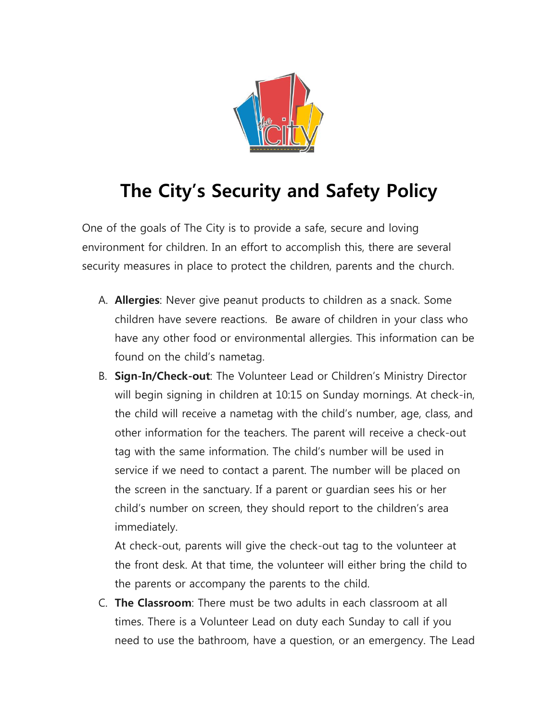

## **The City's Security and Safety Policy**

One of the goals of The City is to provide a safe, secure and loving environment for children. In an effort to accomplish this, there are several security measures in place to protect the children, parents and the church.

- A. **Allergies**: Never give peanut products to children as a snack. Some children have severe reactions. Be aware of children in your class who have any other food or environmental allergies. This information can be found on the child's nametag.
- B. **Sign-In/Check-out**: The Volunteer Lead or Children's Ministry Director will begin signing in children at 10:15 on Sunday mornings. At check-in, the child will receive a nametag with the child's number, age, class, and other information for the teachers. The parent will receive a check-out tag with the same information. The child's number will be used in service if we need to contact a parent. The number will be placed on the screen in the sanctuary. If a parent or guardian sees his or her child's number on screen, they should report to the children's area immediately.

At check-out, parents will give the check-out tag to the volunteer at the front desk. At that time, the volunteer will either bring the child to the parents or accompany the parents to the child.

C. **The Classroom**: There must be two adults in each classroom at all times. There is a Volunteer Lead on duty each Sunday to call if you need to use the bathroom, have a question, or an emergency. The Lead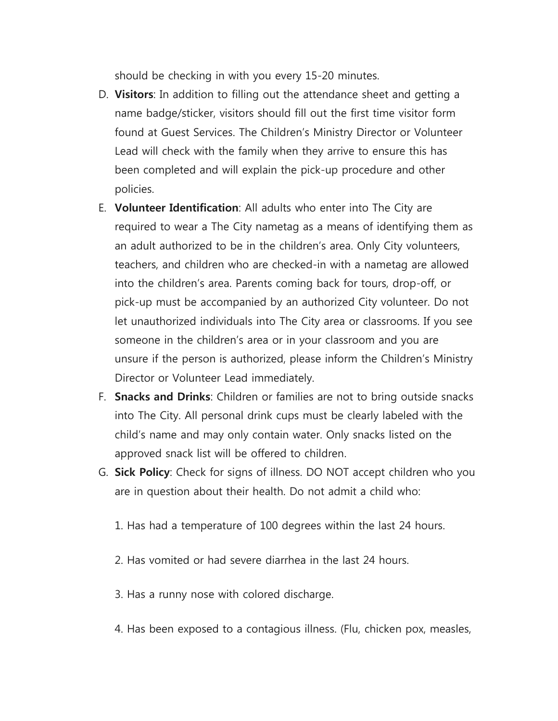should be checking in with you every 15-20 minutes.

- D. **Visitors**: In addition to filling out the attendance sheet and getting a name badge/sticker, visitors should fill out the first time visitor form found at Guest Services. The Children's Ministry Director or Volunteer Lead will check with the family when they arrive to ensure this has been completed and will explain the pick-up procedure and other policies.
- E. **Volunteer Identification**: All adults who enter into The City are required to wear a The City nametag as a means of identifying them as an adult authorized to be in the children's area. Only City volunteers, teachers, and children who are checked-in with a nametag are allowed into the children's area. Parents coming back for tours, drop-off, or pick-up must be accompanied by an authorized City volunteer. Do not let unauthorized individuals into The City area or classrooms. If you see someone in the children's area or in your classroom and you are unsure if the person is authorized, please inform the Children's Ministry Director or Volunteer Lead immediately.
- F. **Snacks and Drinks**: Children or families are not to bring outside snacks into The City. All personal drink cups must be clearly labeled with the child's name and may only contain water. Only snacks listed on the approved snack list will be offered to children.
- G. **Sick Policy**: Check for signs of illness. DO NOT accept children who you are in question about their health. Do not admit a child who:
	- 1. Has had a temperature of 100 degrees within the last 24 hours.
	- 2. Has vomited or had severe diarrhea in the last 24 hours.
	- 3. Has a runny nose with colored discharge.
	- 4. Has been exposed to a contagious illness. (Flu, chicken pox, measles,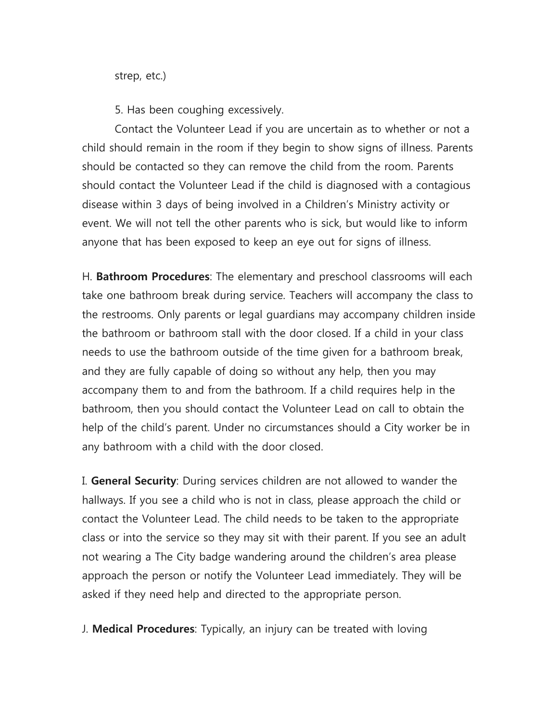strep, etc.)

5. Has been coughing excessively.

Contact the Volunteer Lead if you are uncertain as to whether or not a child should remain in the room if they begin to show signs of illness. Parents should be contacted so they can remove the child from the room. Parents should contact the Volunteer Lead if the child is diagnosed with a contagious disease within 3 days of being involved in a Children's Ministry activity or event. We will not tell the other parents who is sick, but would like to inform anyone that has been exposed to keep an eye out for signs of illness.

H. **Bathroom Procedures**: The elementary and preschool classrooms will each take one bathroom break during service. Teachers will accompany the class to the restrooms. Only parents or legal guardians may accompany children inside the bathroom or bathroom stall with the door closed. If a child in your class needs to use the bathroom outside of the time given for a bathroom break, and they are fully capable of doing so without any help, then you may accompany them to and from the bathroom. If a child requires help in the bathroom, then you should contact the Volunteer Lead on call to obtain the help of the child's parent. Under no circumstances should a City worker be in any bathroom with a child with the door closed.

I. **General Security**: During services children are not allowed to wander the hallways. If you see a child who is not in class, please approach the child or contact the Volunteer Lead. The child needs to be taken to the appropriate class or into the service so they may sit with their parent. If you see an adult not wearing a The City badge wandering around the children's area please approach the person or notify the Volunteer Lead immediately. They will be asked if they need help and directed to the appropriate person.

J. **Medical Procedures**: Typically, an injury can be treated with loving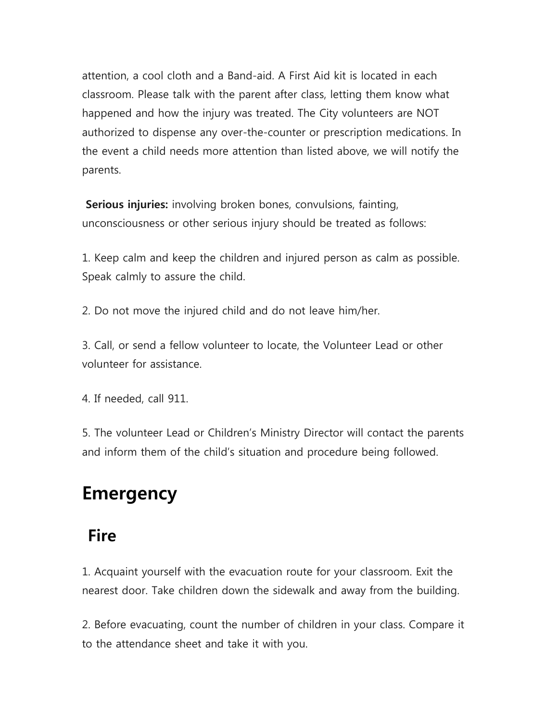attention, a cool cloth and a Band-aid. A First Aid kit is located in each classroom. Please talk with the parent after class, letting them know what happened and how the injury was treated. The City volunteers are NOT authorized to dispense any over-the-counter or prescription medications. In the event a child needs more attention than listed above, we will notify the parents.

**Serious injuries:** involving broken bones, convulsions, fainting, unconsciousness or other serious injury should be treated as follows:

1. Keep calm and keep the children and injured person as calm as possible. Speak calmly to assure the child.

2. Do not move the injured child and do not leave him/her.

3. Call, or send a fellow volunteer to locate, the Volunteer Lead or other volunteer for assistance.

4. If needed, call 911.

5. The volunteer Lead or Children's Ministry Director will contact the parents and inform them of the child's situation and procedure being followed.

## **Emergency**

## **Fire**

1. Acquaint yourself with the evacuation route for your classroom. Exit the nearest door. Take children down the sidewalk and away from the building.

2. Before evacuating, count the number of children in your class. Compare it to the attendance sheet and take it with you.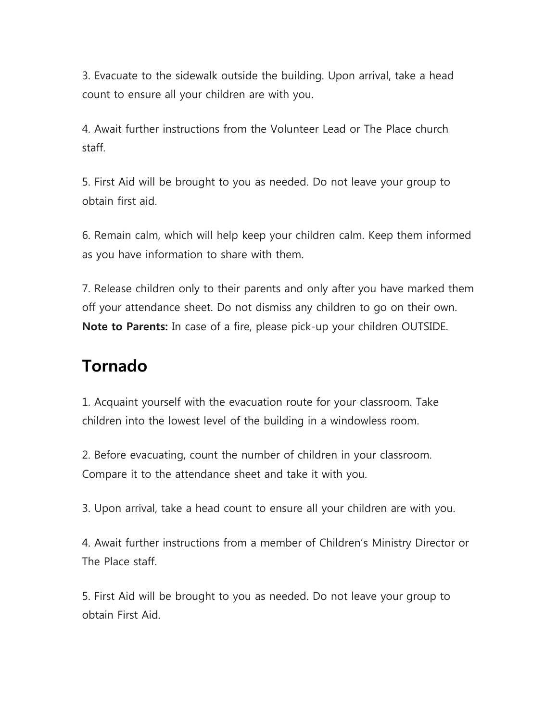3. Evacuate to the sidewalk outside the building. Upon arrival, take a head count to ensure all your children are with you.

4. Await further instructions from the Volunteer Lead or The Place church staff.

5. First Aid will be brought to you as needed. Do not leave your group to obtain first aid.

6. Remain calm, which will help keep your children calm. Keep them informed as you have information to share with them.

7. Release children only to their parents and only after you have marked them off your attendance sheet. Do not dismiss any children to go on their own. **Note to Parents:** In case of a fire, please pick-up your children OUTSIDE.

## **Tornado**

1. Acquaint yourself with the evacuation route for your classroom. Take children into the lowest level of the building in a windowless room.

2. Before evacuating, count the number of children in your classroom. Compare it to the attendance sheet and take it with you.

3. Upon arrival, take a head count to ensure all your children are with you.

4. Await further instructions from a member of Children's Ministry Director or The Place staff.

5. First Aid will be brought to you as needed. Do not leave your group to obtain First Aid.